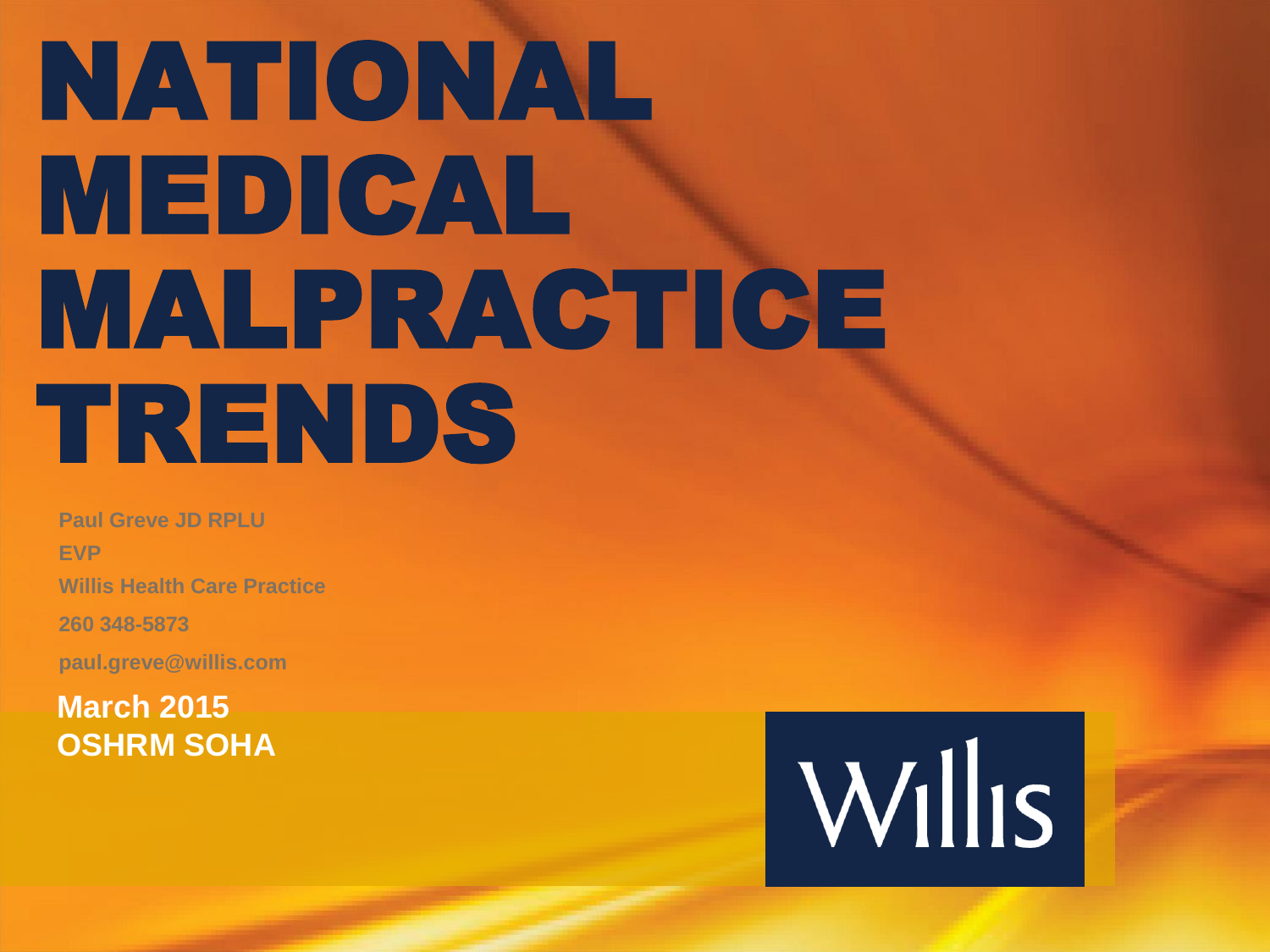# NATIONAL MEDICAL MALPRACTICE TRENDS

**Paul Greve JD RPLU EVP Willis Health Care Practice 260 348-5873 paul.greve@willis.com**

**March 2015 OSHRM SOHA**

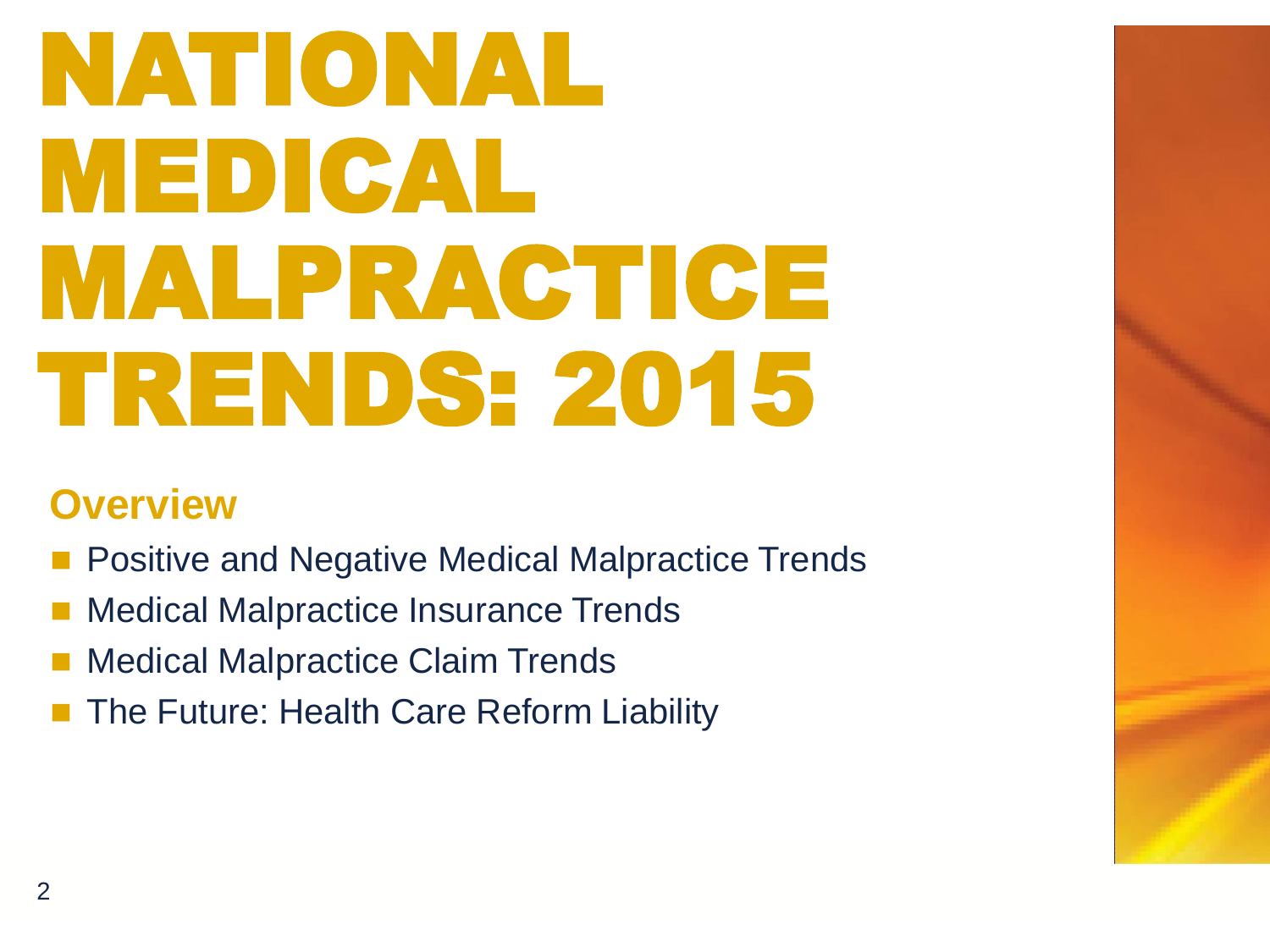# NATIONAL MEDICAL MALPRACTICE TRENDS: 2015

### **Overview**

- Positive and Negative Medical Malpractice Trends
- Medical Malpractice Insurance Trends
- Medical Malpractice Claim Trends
- The Future: Health Care Reform Liability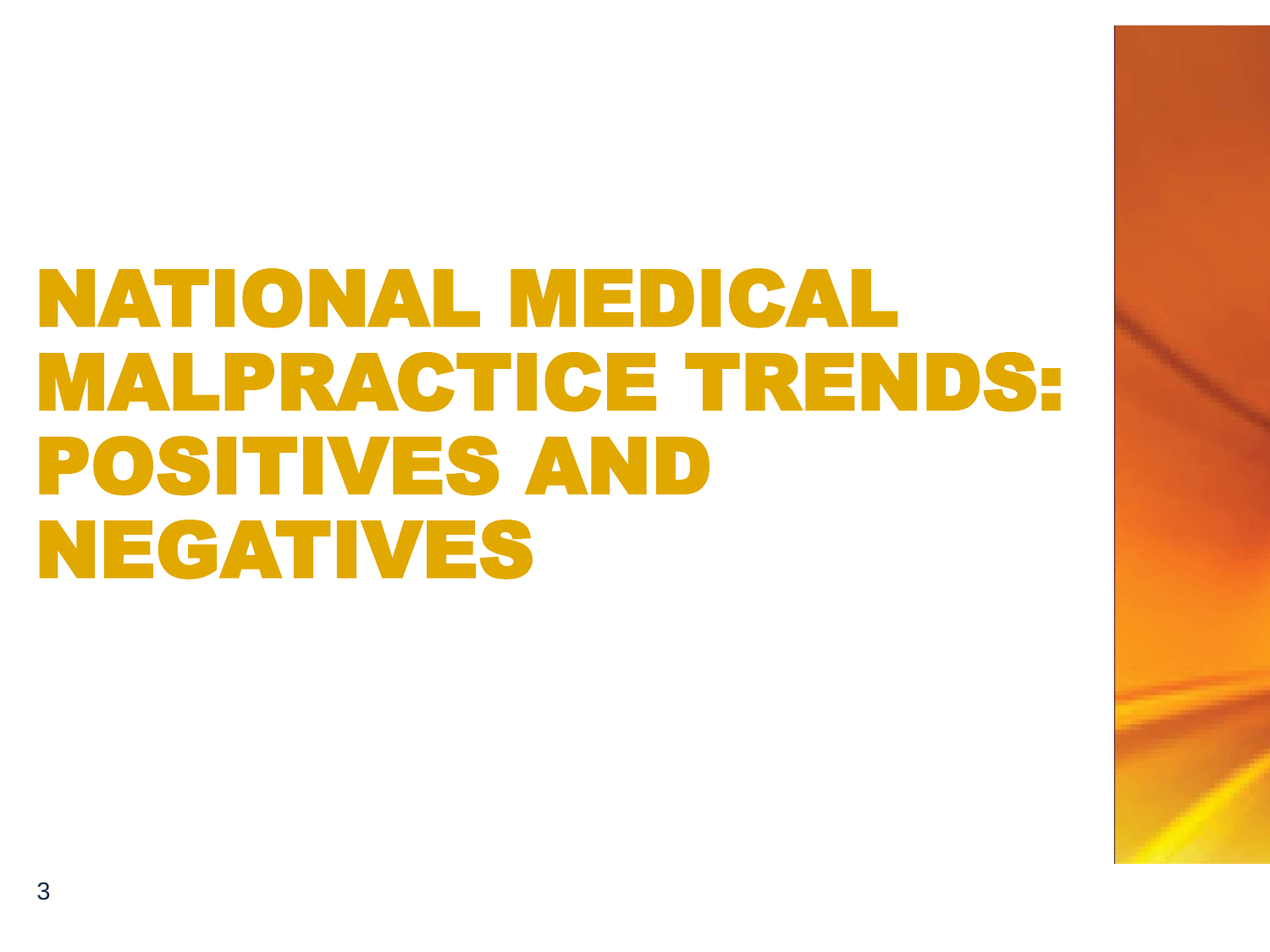## NATIONAL MEDICAL MALPRACTICE TRENDS: POSITIVES AND NEGATIVES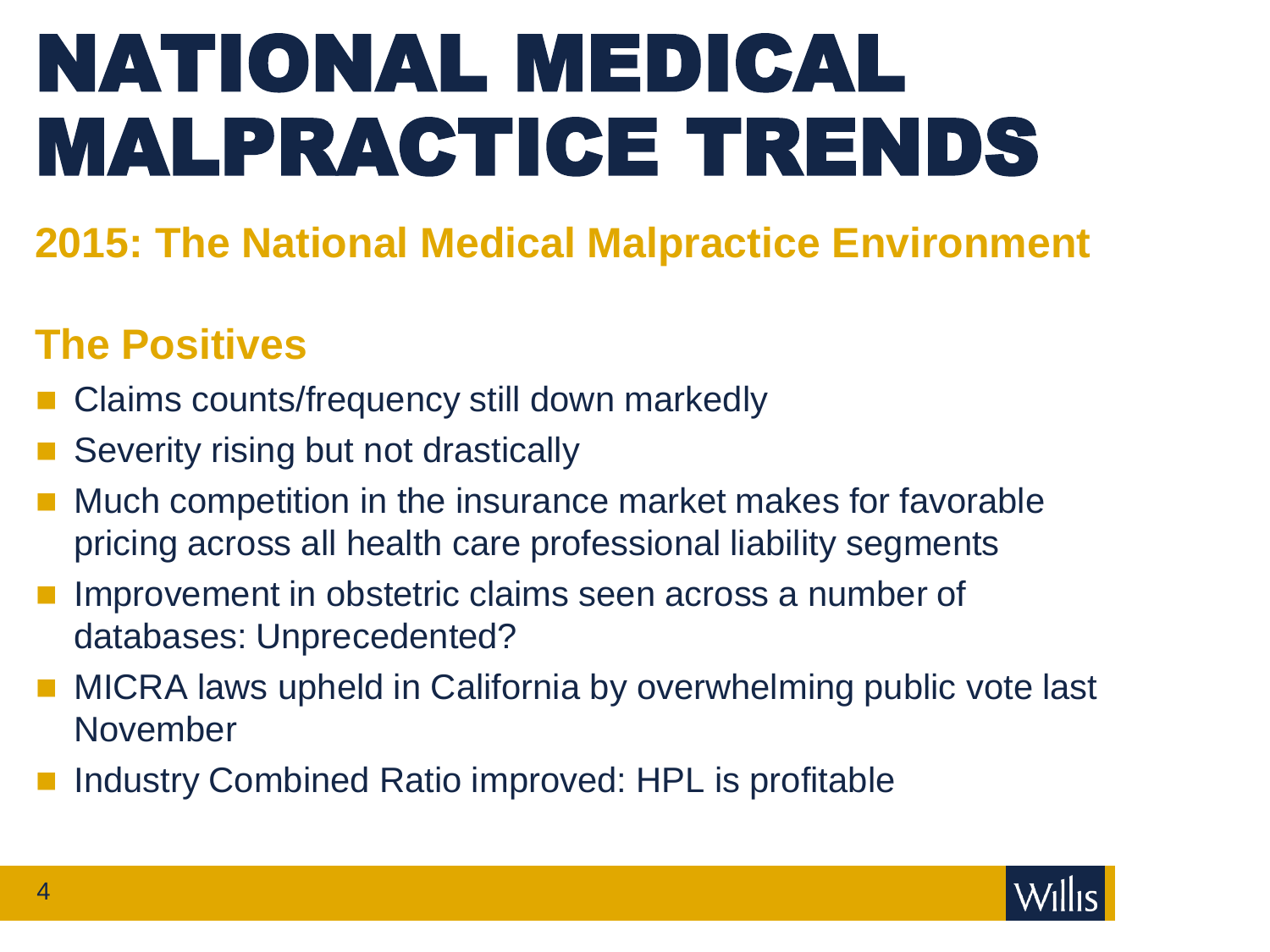# NATIONAL MEDICAL MALPRACTICE TRENDS

### **2015: The National Medical Malpractice Environment**

### **The Positives**

- Claims counts/frequency still down markedly
- Severity rising but not drastically
- Much competition in the insurance market makes for favorable pricing across all health care professional liability segments
- Improvement in obstetric claims seen across a number of databases: Unprecedented?
- MICRA laws upheld in California by overwhelming public vote last November
- Industry Combined Ratio improved: HPL is profitable

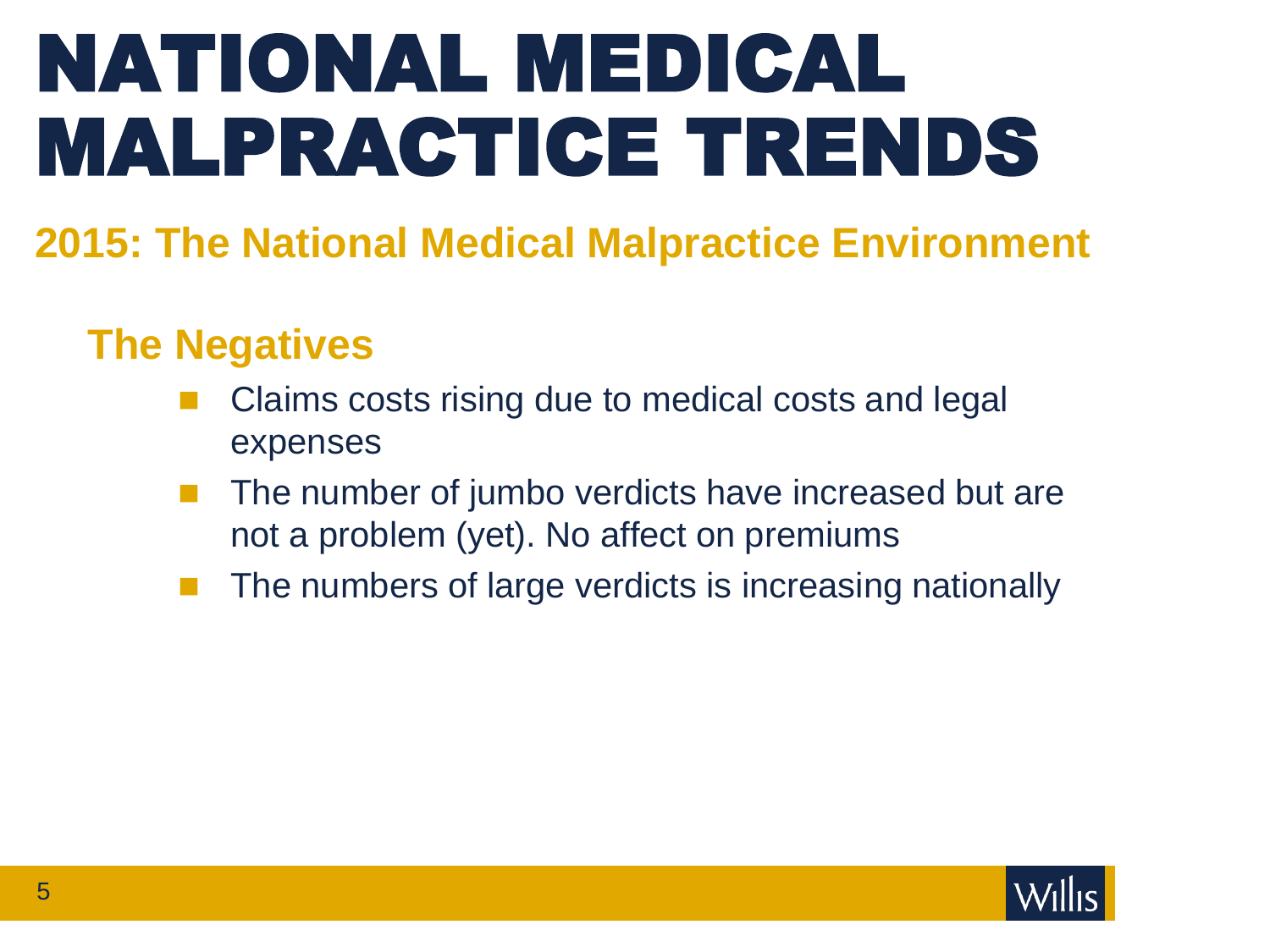# NATIONAL MEDICAL MALPRACTICE TRENDS

### **2015: The National Medical Malpractice Environment**

### **The Negatives**

- Claims costs rising due to medical costs and legal expenses
- $\blacksquare$  The number of jumbo verdicts have increased but are not a problem (yet). No affect on premiums
- The numbers of large verdicts is increasing nationally

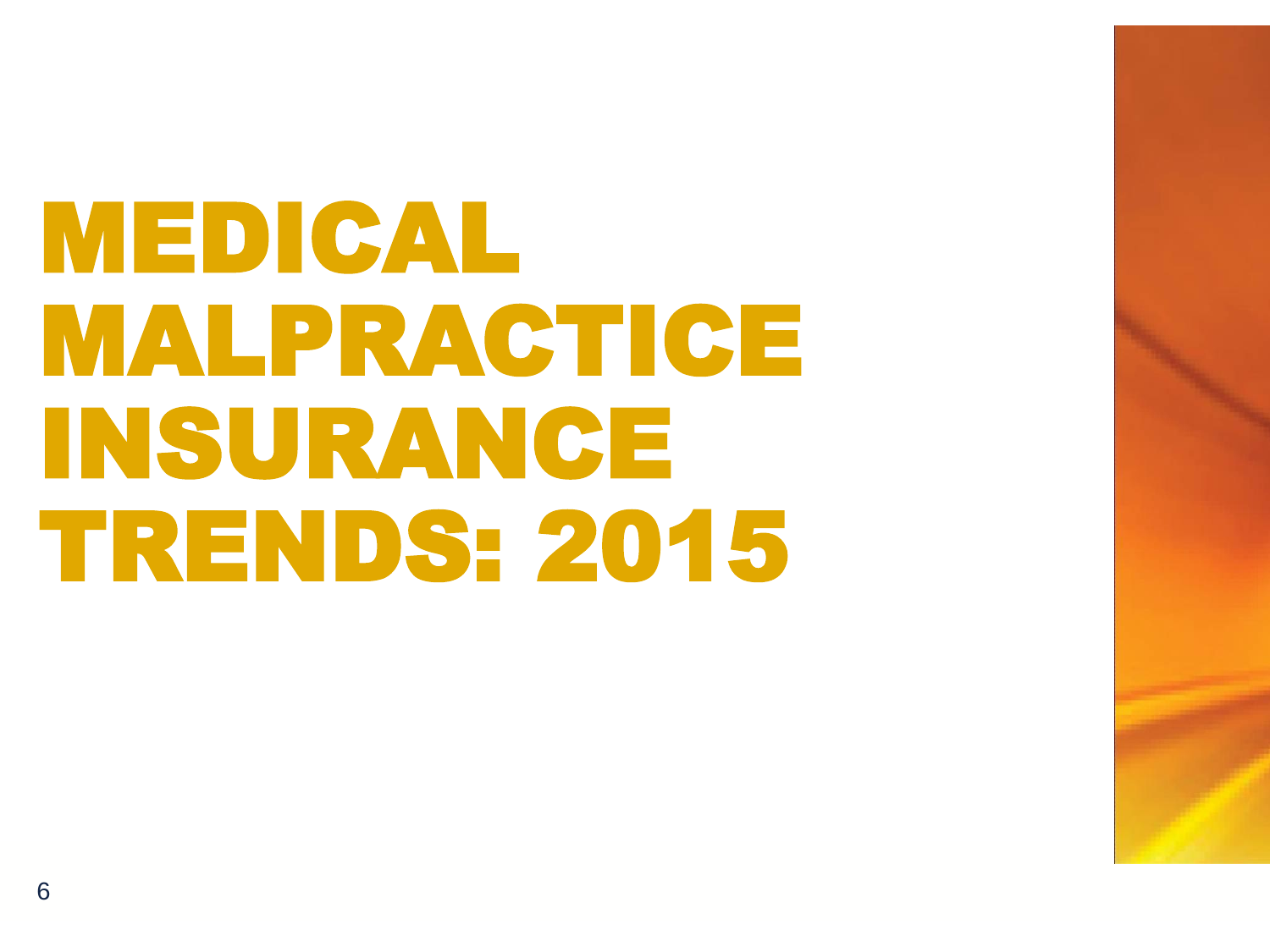# MEDICAL MALPRACTICE INSURANCE TRENDS: 2015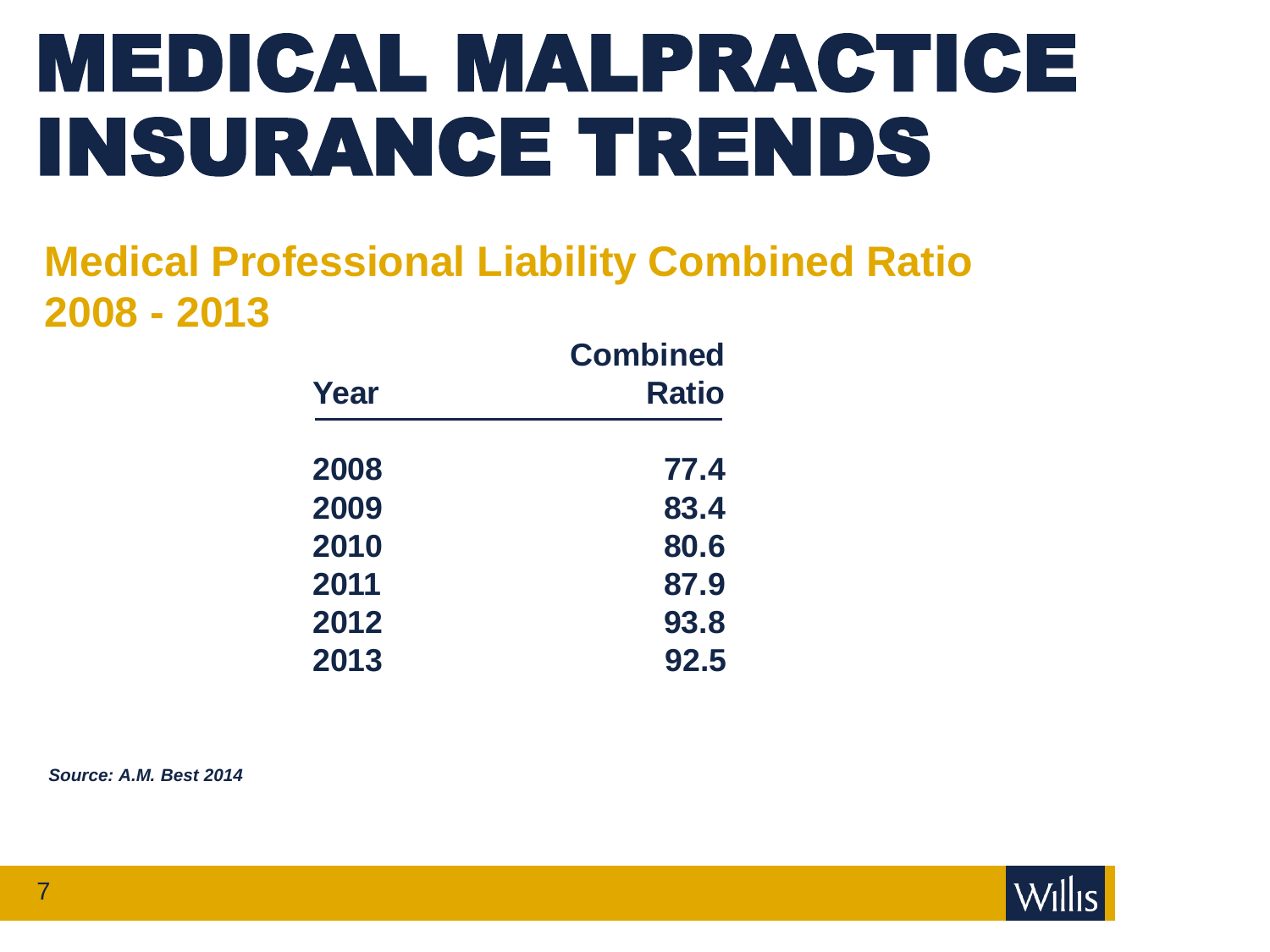# MEDICAL MALPRACTICE INSURANCE TRENDS

### **Medical Professional Liability Combined Ratio 2008 - 2013**

|      | <b>Combined</b><br><b>Ratio</b> |  |  |
|------|---------------------------------|--|--|
| Year |                                 |  |  |
| 2008 | 77.4                            |  |  |
| 2009 | 83.4                            |  |  |
| 2010 | 80.6                            |  |  |
| 2011 | 87.9                            |  |  |
| 2012 | 93.8                            |  |  |
| 2013 | 92.5                            |  |  |

*Source: A.M. Best 2014*

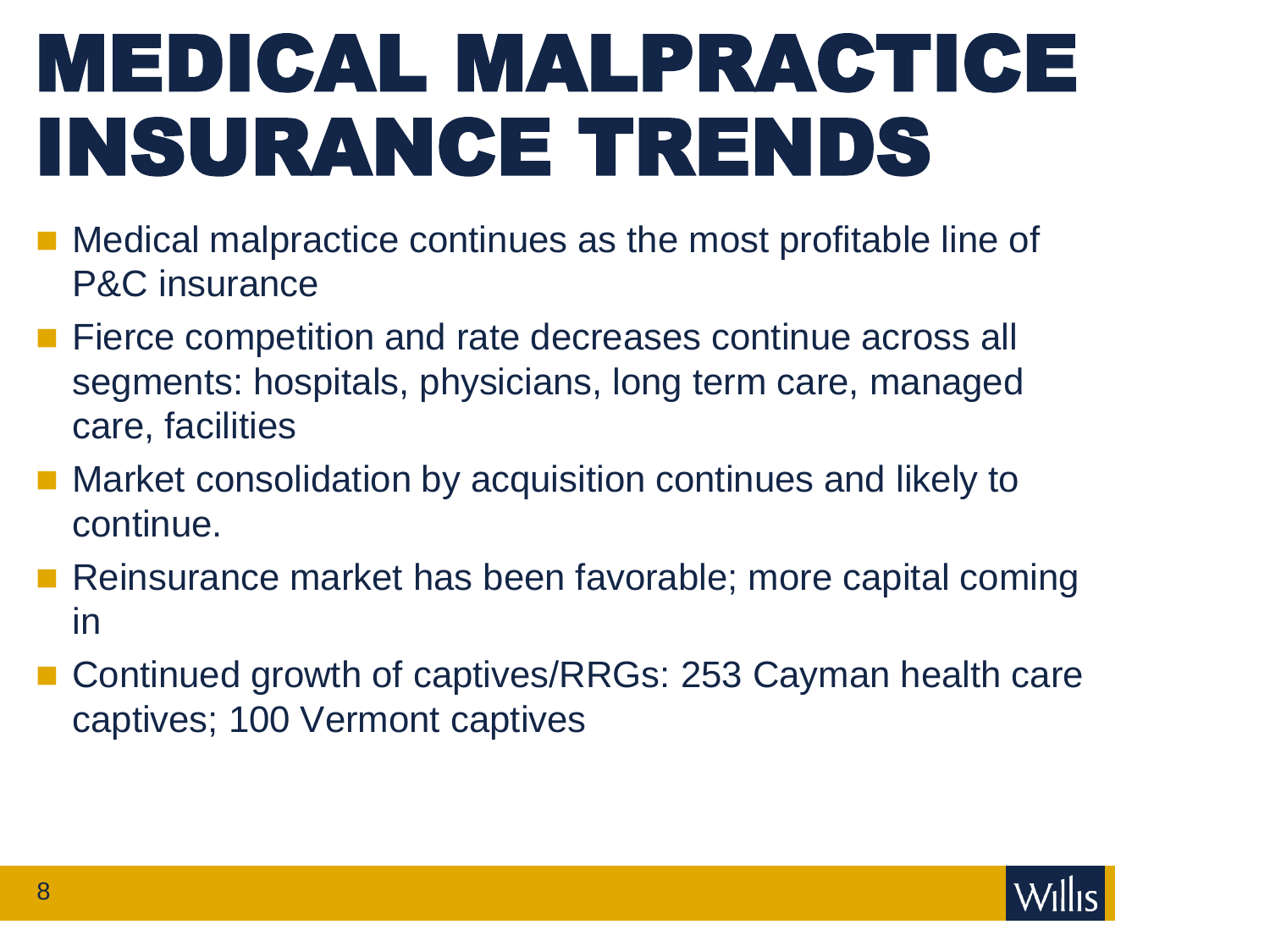# MEDICAL MALPRACTICE INSURANCE TRENDS

- Medical malpractice continues as the most profitable line of P&C insurance
- **Fierce competition and rate decreases continue across all** segments: hospitals, physicians, long term care, managed care, facilities
- **Market consolidation by acquisition continues and likely to** continue.
- Reinsurance market has been favorable; more capital coming in
- Continued growth of captives/RRGs: 253 Cayman health care captives; 100 Vermont captives

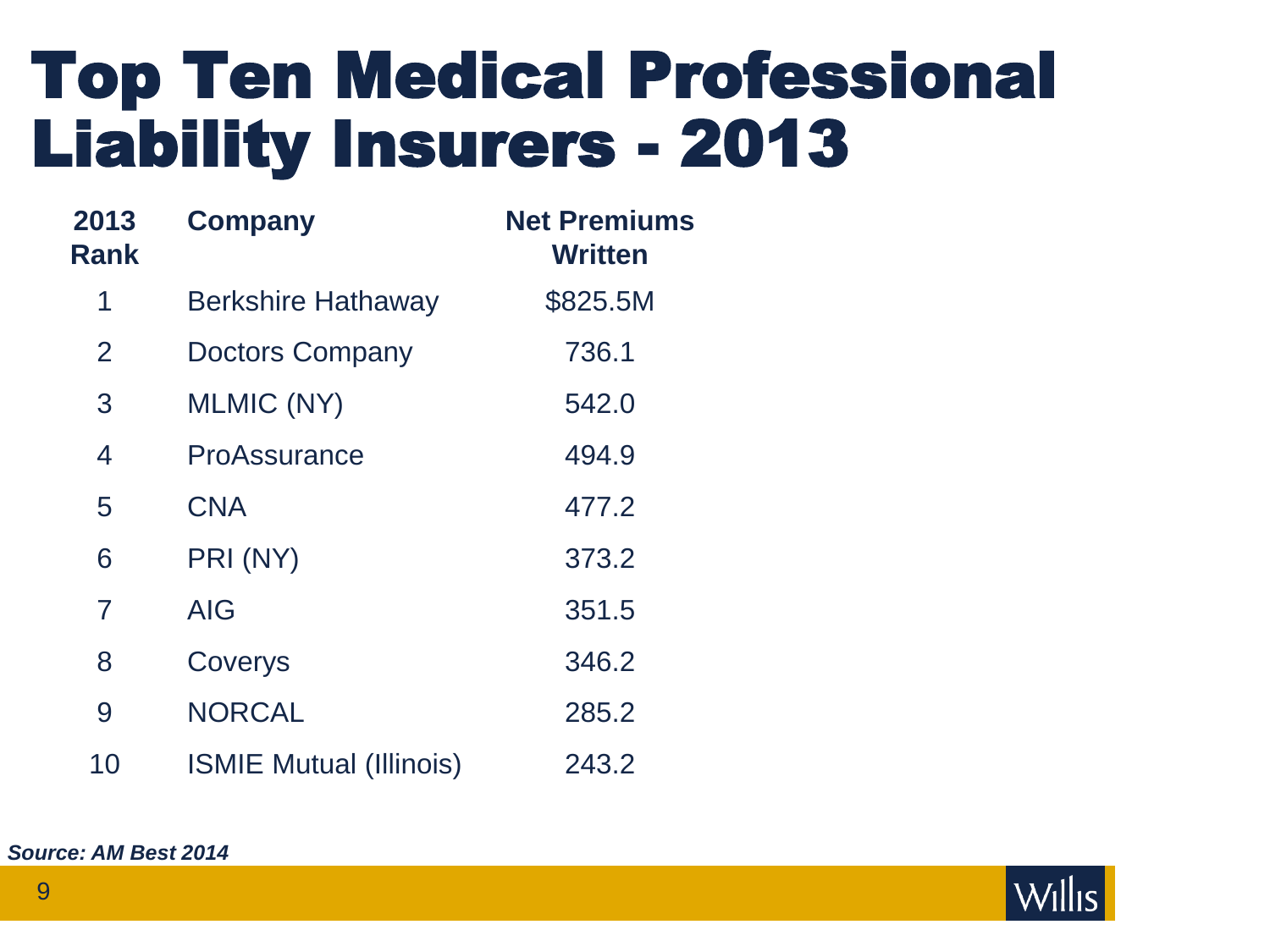## Top Ten Medical Professional Liability Insurers - 2013

| 2013<br>Rank   | <b>Company</b>                 | <b>Net Premiums</b><br><b>Written</b> |  |
|----------------|--------------------------------|---------------------------------------|--|
| 1              | <b>Berkshire Hathaway</b>      | \$825.5M                              |  |
| 2              | <b>Doctors Company</b>         | 736.1                                 |  |
| 3              | <b>MLMIC (NY)</b>              | 542.0                                 |  |
| 4              | <b>ProAssurance</b>            | 494.9                                 |  |
| 5              | <b>CNA</b>                     | 477.2                                 |  |
| 6              | PRI (NY)                       | 373.2                                 |  |
| $\overline{7}$ | AIG                            | 351.5                                 |  |
| 8              | Coverys                        | 346.2                                 |  |
| 9              | <b>NORCAL</b>                  | 285.2                                 |  |
| 10             | <b>ISMIE Mutual (Illinois)</b> | 243.2                                 |  |

*Source: AM Best 2014*

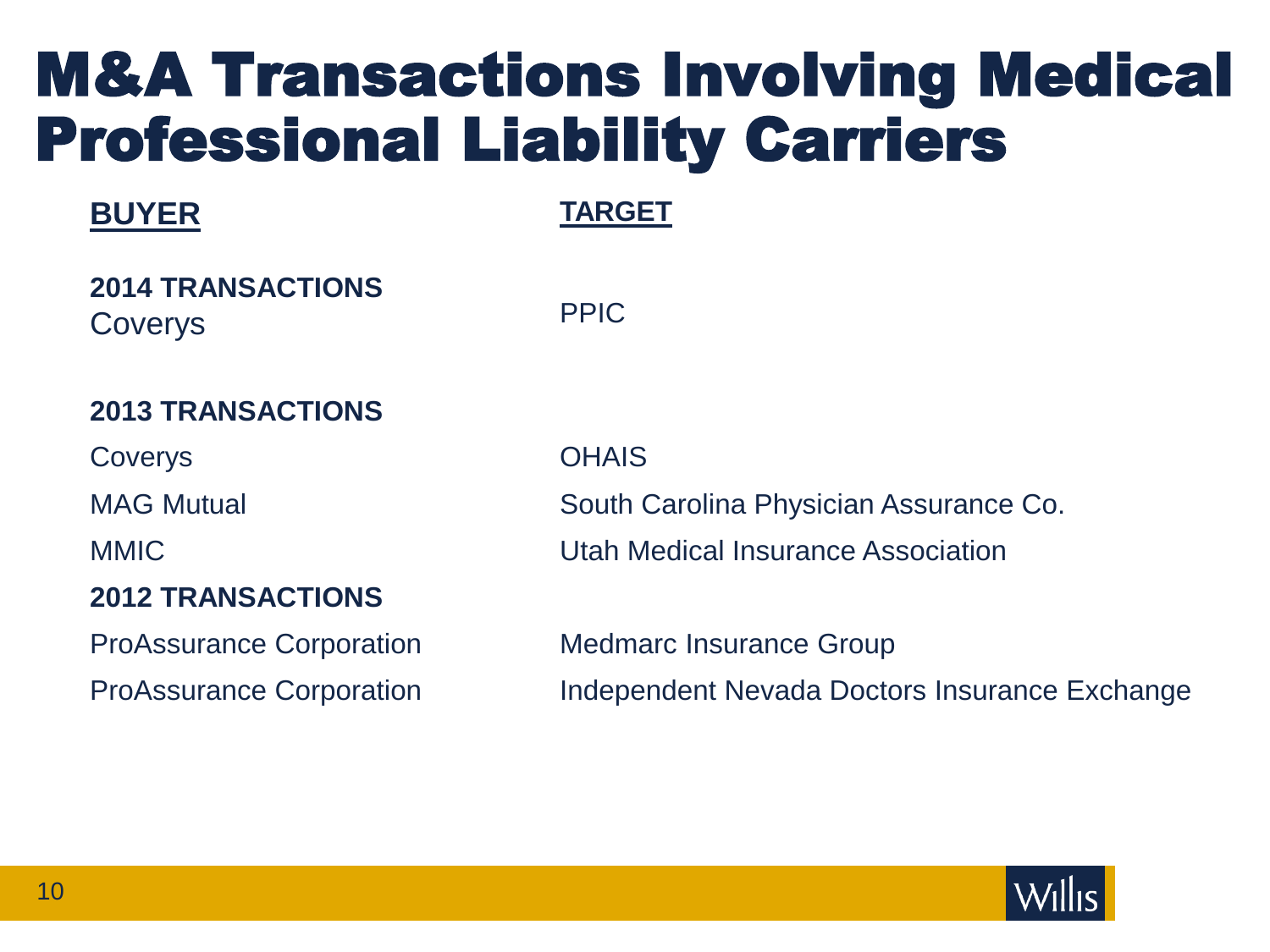## M&A Transactions Involving Medical Professional Liability Carriers

### **BUYER**

**TARGET**

**2014 TRANSACTIONS** Coverys

PPIC

### **2013 TRANSACTIONS**

Coverys **OHAIS** 

#### **2012 TRANSACTIONS**

MAG Mutual South Carolina Physician Assurance Co. MMIC Utah Medical Insurance Association

ProAssurance Corporation Medmarc Insurance Group ProAssurance Corporation Independent Nevada Doctors Insurance Exchange

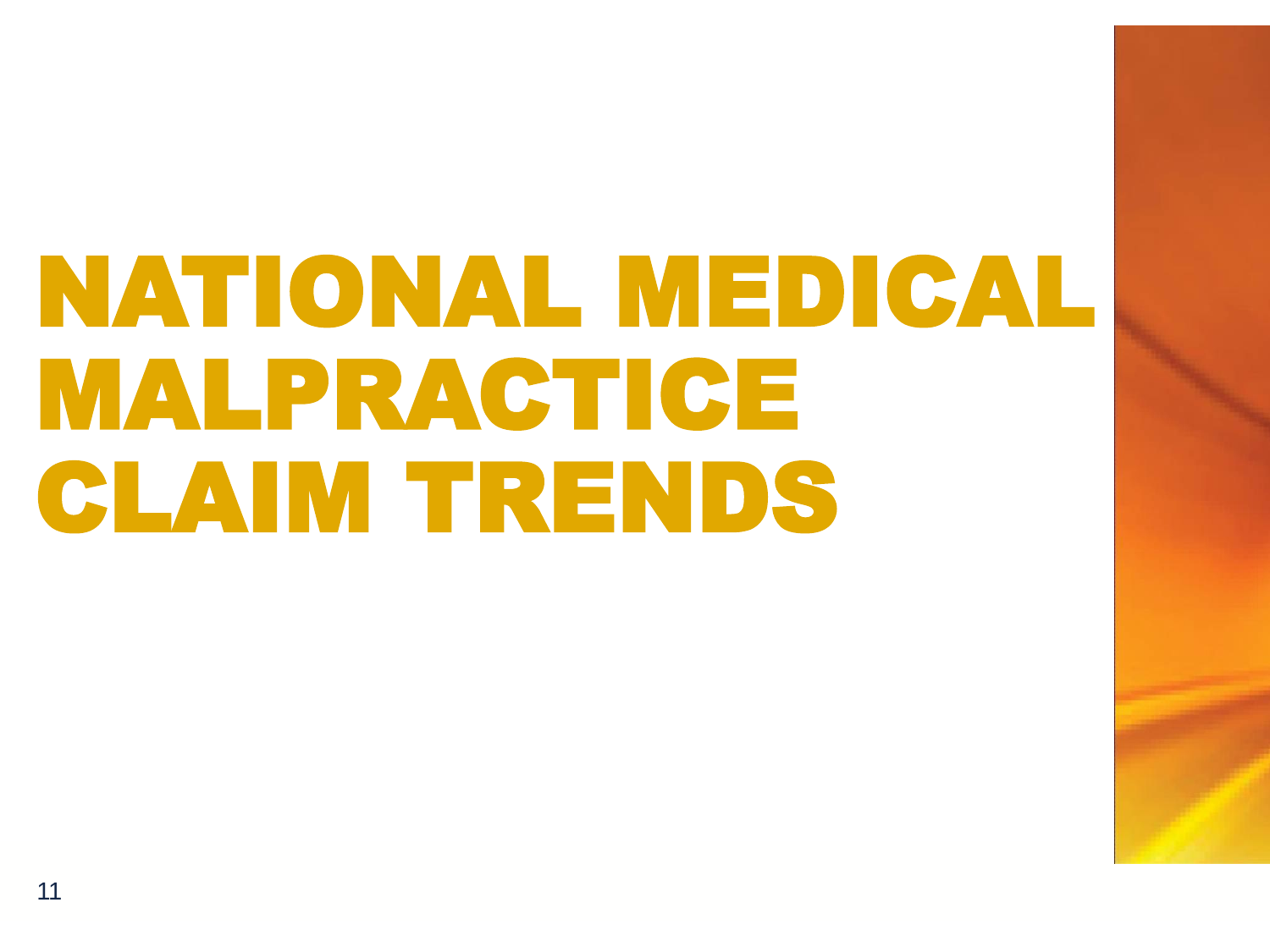# NATIONAL MEDICAL MALPRACTICE CLAIM TRENDS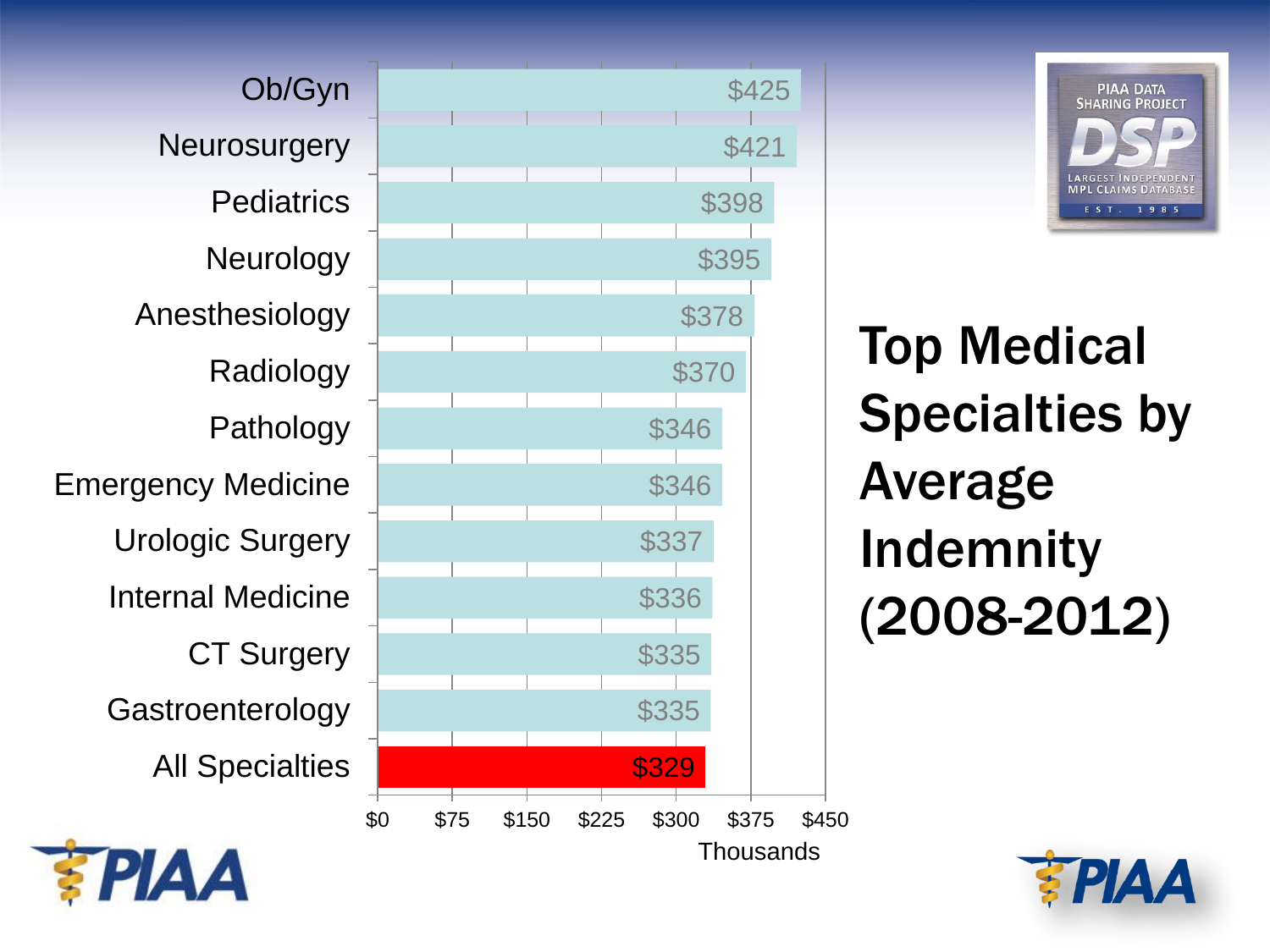







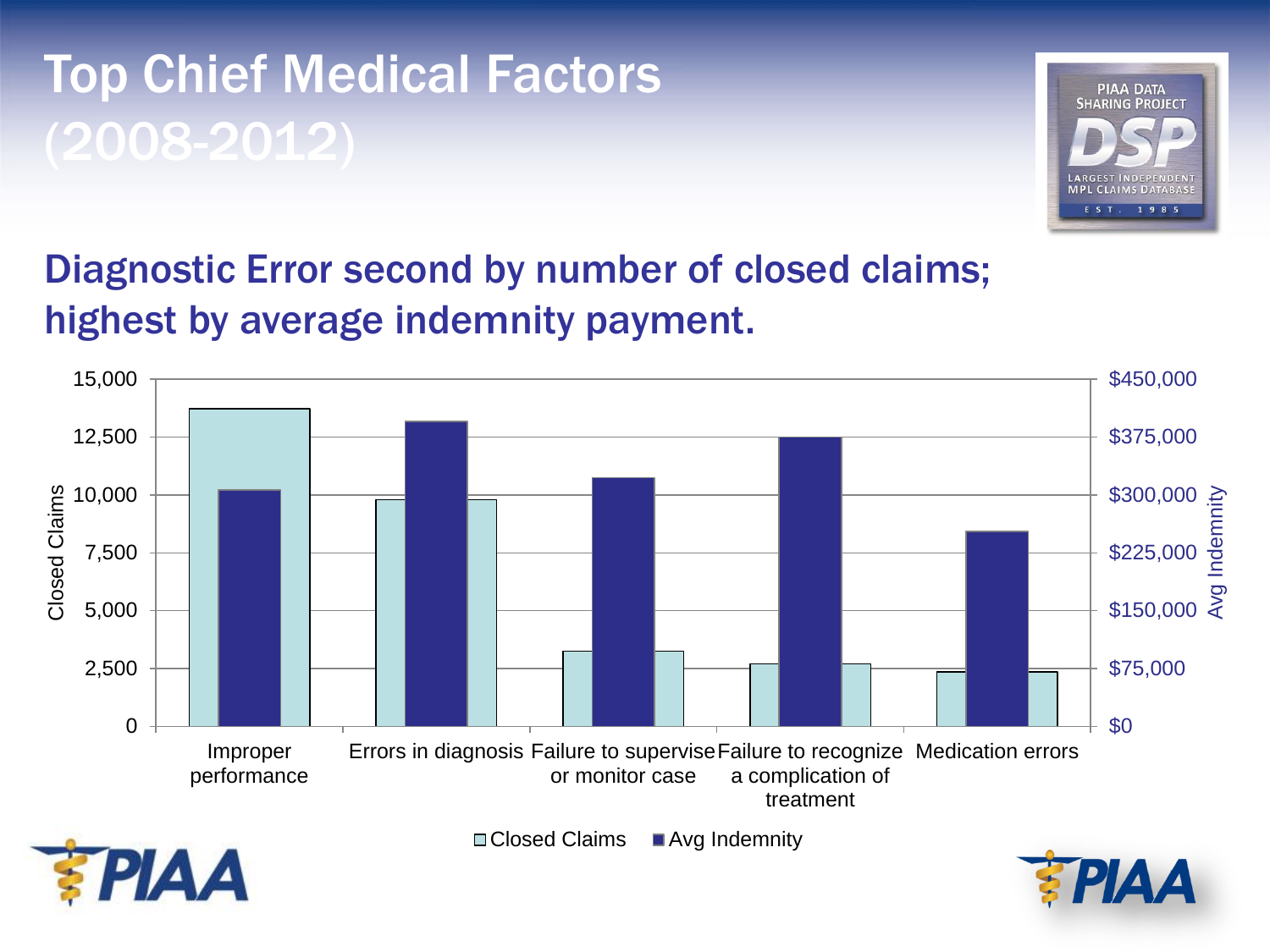### Top Chief Medical Factors (2008-2012)



### Diagnostic Error second by number of closed claims; highest by average indemnity payment.

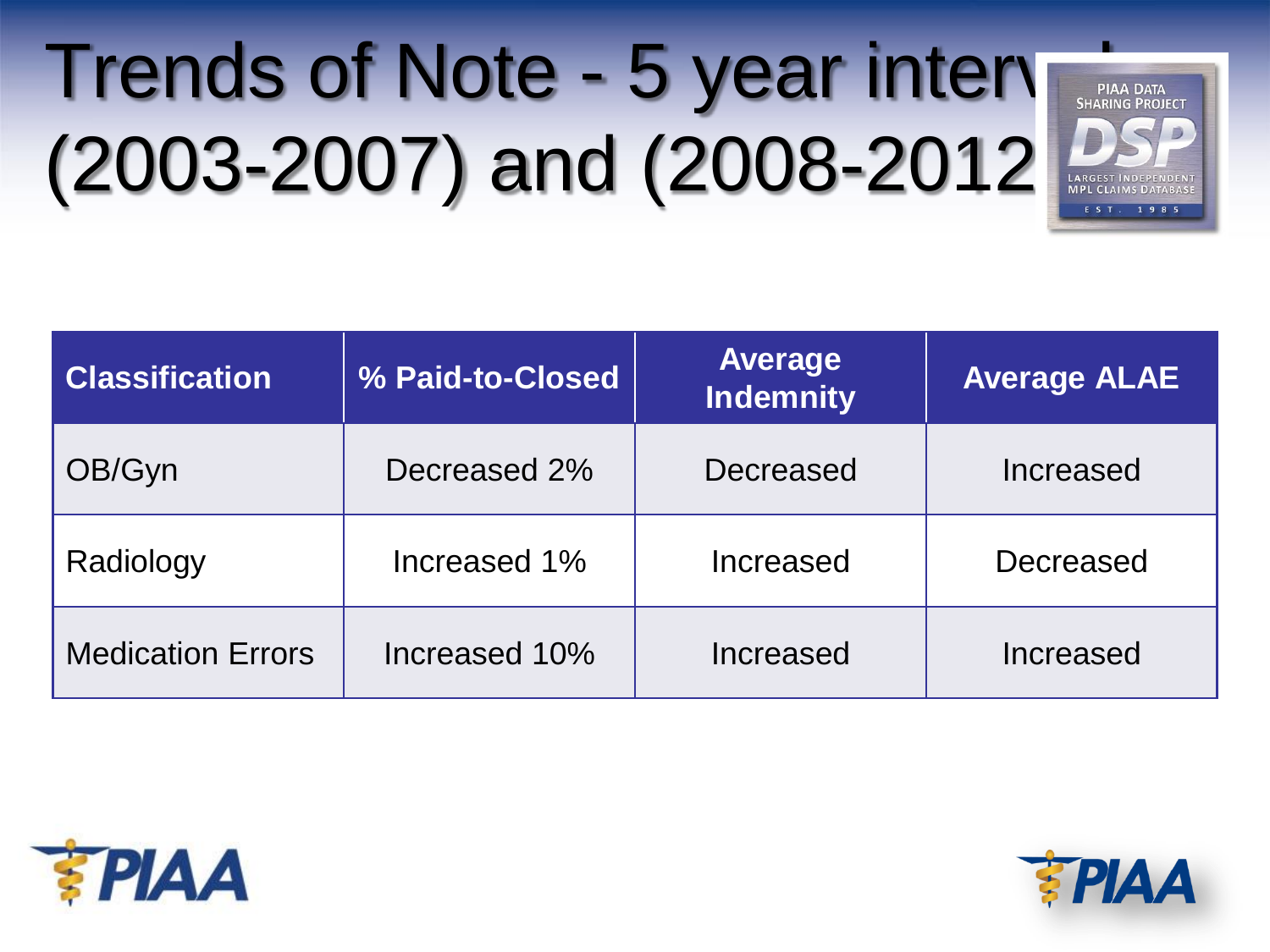# Trends of Note - 5 year inten (2003-2007) and (2008-2012)





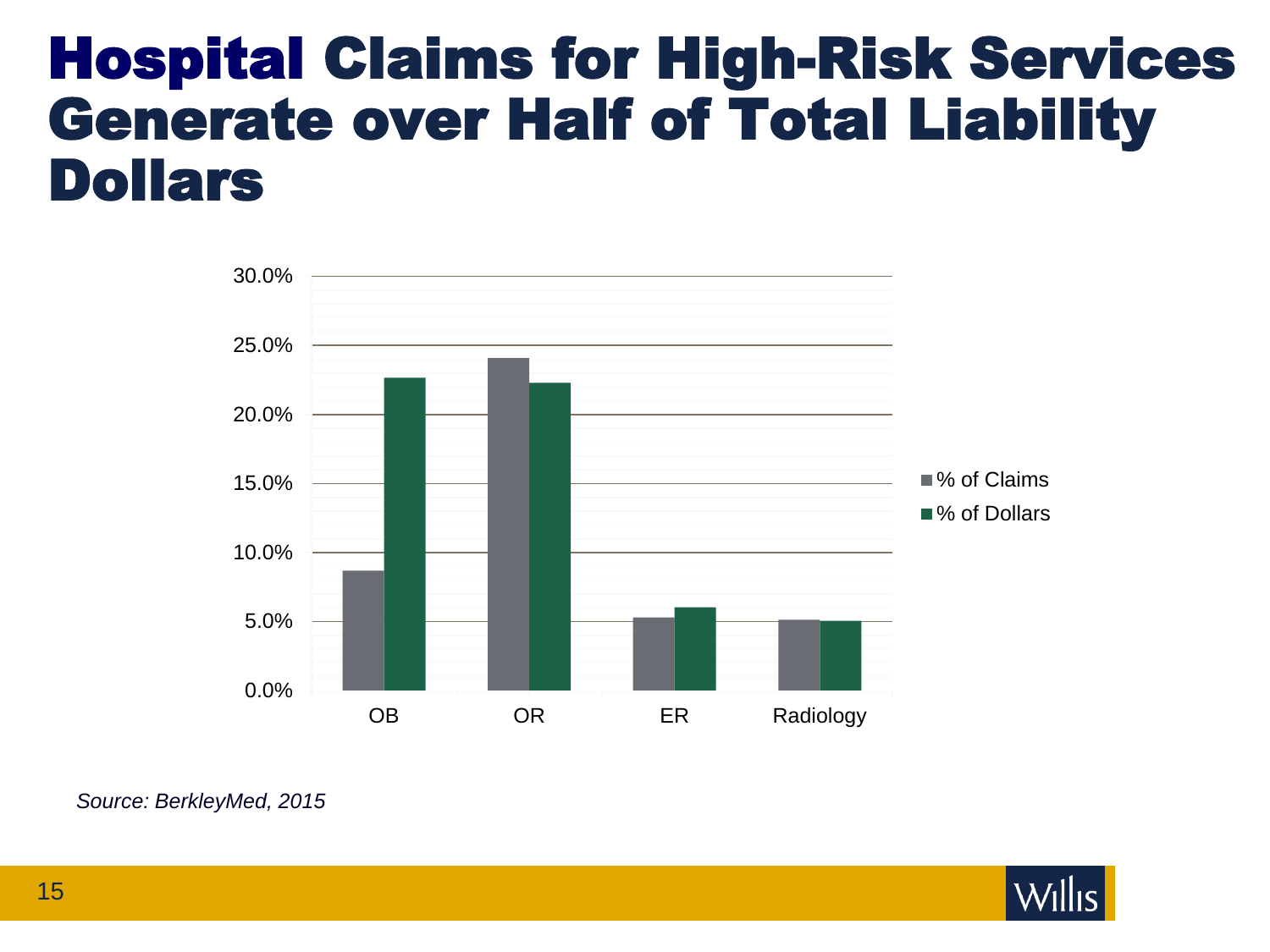### Hospital Claims for High-Risk Services Generate over Half of Total Liability Dollars



#### *Source: BerkleyMed, 2015*

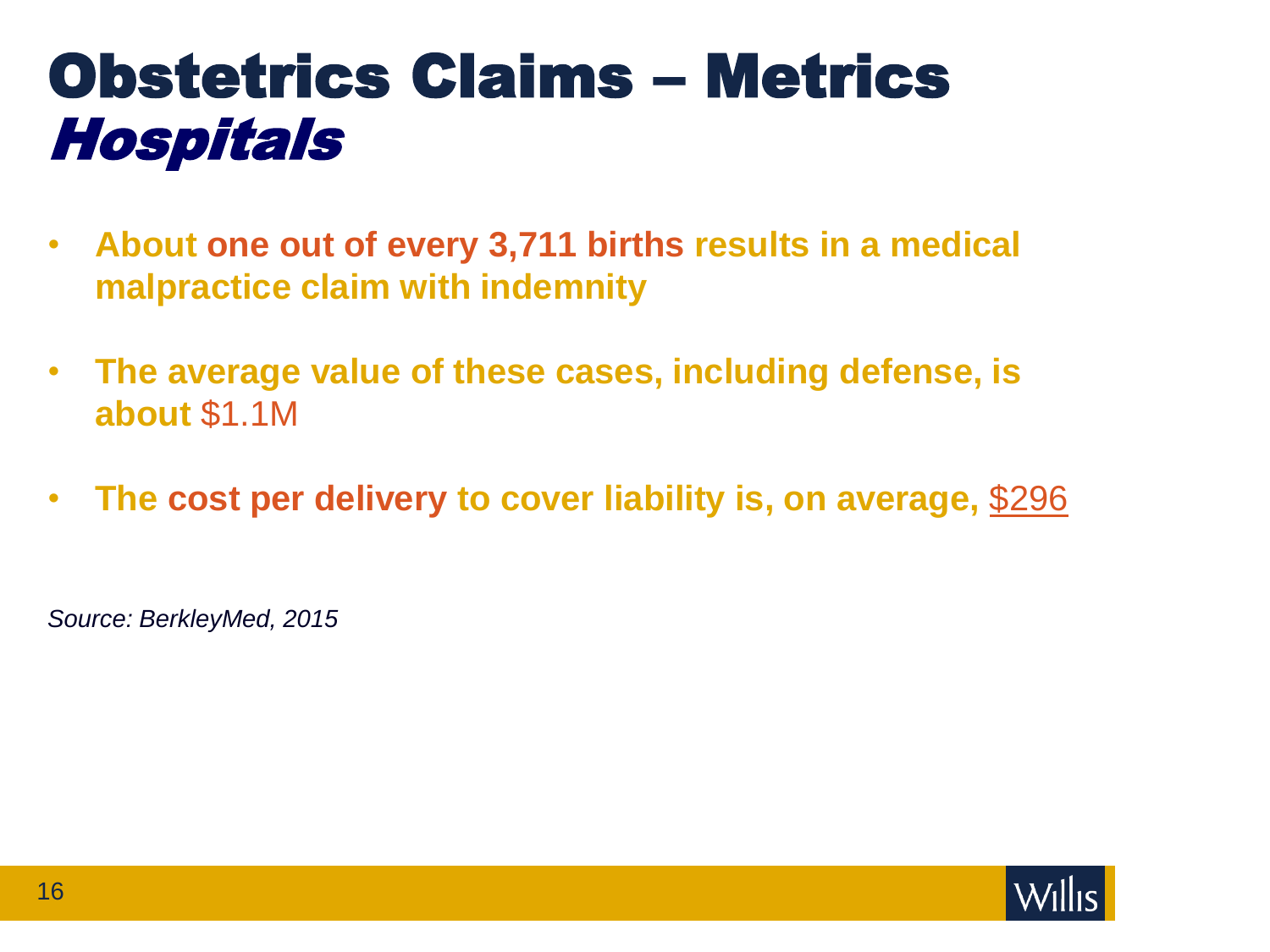## Obstetrics Claims – Metrics Hospitals

- **About one out of every 3,711 births results in a medical malpractice claim with indemnity**
- **The average value of these cases, including defense, is about** \$1.1M
- **The cost per delivery to cover liability is, on average,** \$296

*Source: BerkleyMed, 2015*

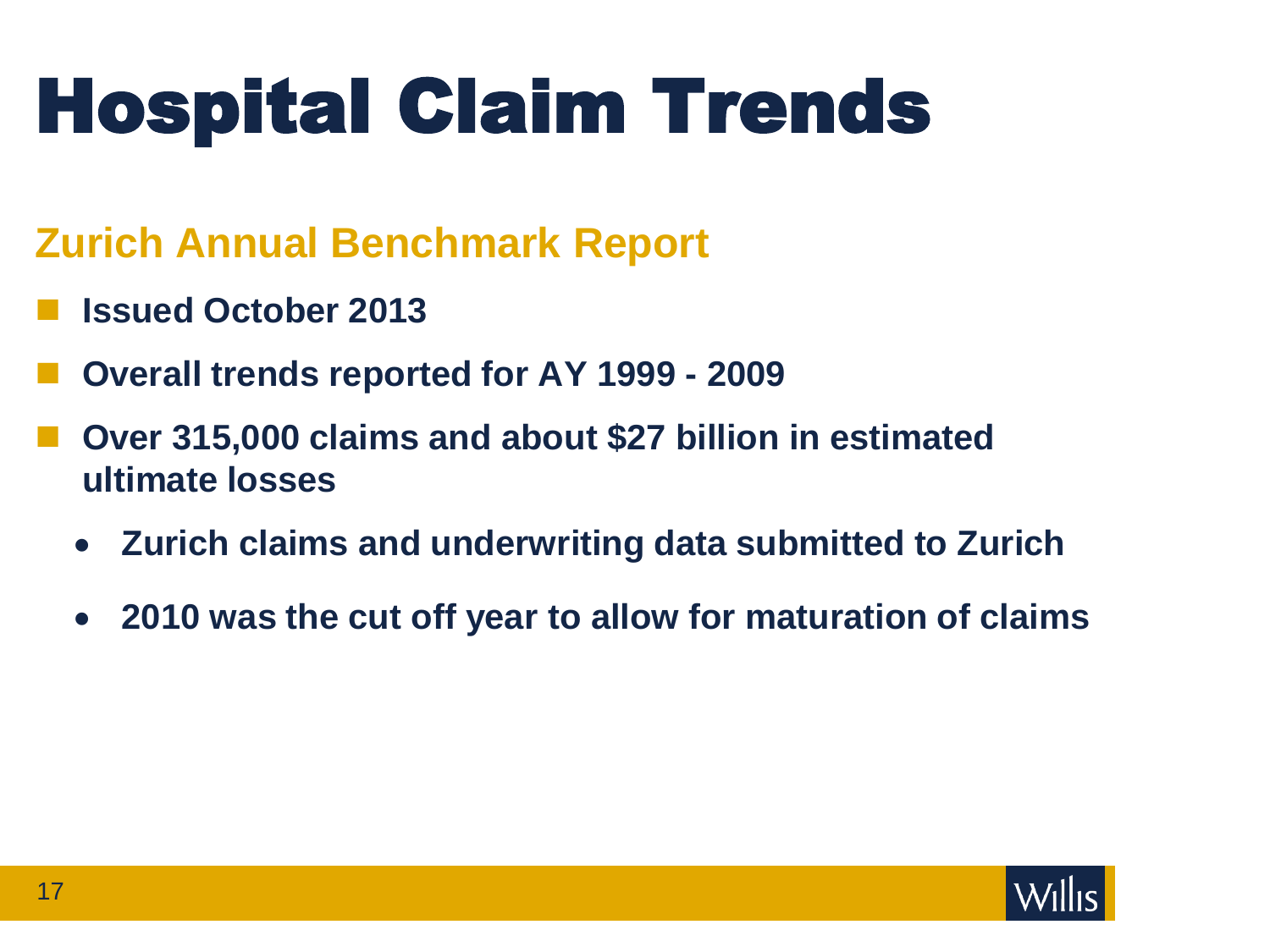# Hospital Claim Trends

### **Zurich Annual Benchmark Report**

- **Issued October 2013**
- **Overall trends reported for AY 1999 - 2009**
- **Over 315,000 claims and about \$27 billion in estimated ultimate losses**
	- **Zurich claims and underwriting data submitted to Zurich**
	- **2010 was the cut off year to allow for maturation of claims**

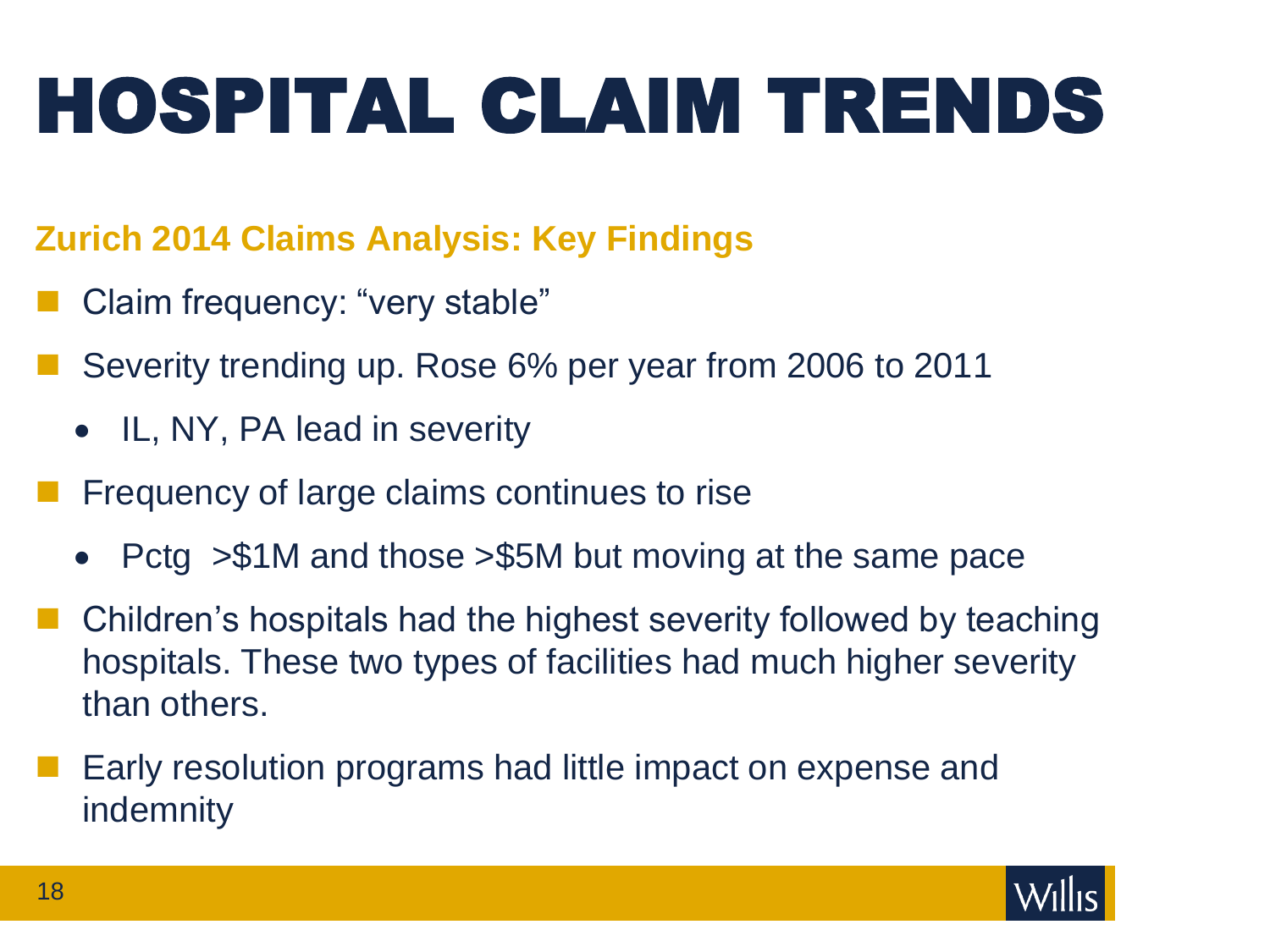# HOSPITAL CLAIM TRENDS

### **Zurich 2014 Claims Analysis: Key Findings**

- Claim frequency: "very stable"
- Severity trending up. Rose 6% per year from 2006 to 2011
	- IL, NY, PA lead in severity
- Frequency of large claims continues to rise
	- Pctg > \$1M and those > \$5M but moving at the same pace
- Children's hospitals had the highest severity followed by teaching hospitals. These two types of facilities had much higher severity than others.
- Early resolution programs had little impact on expense and indemnity

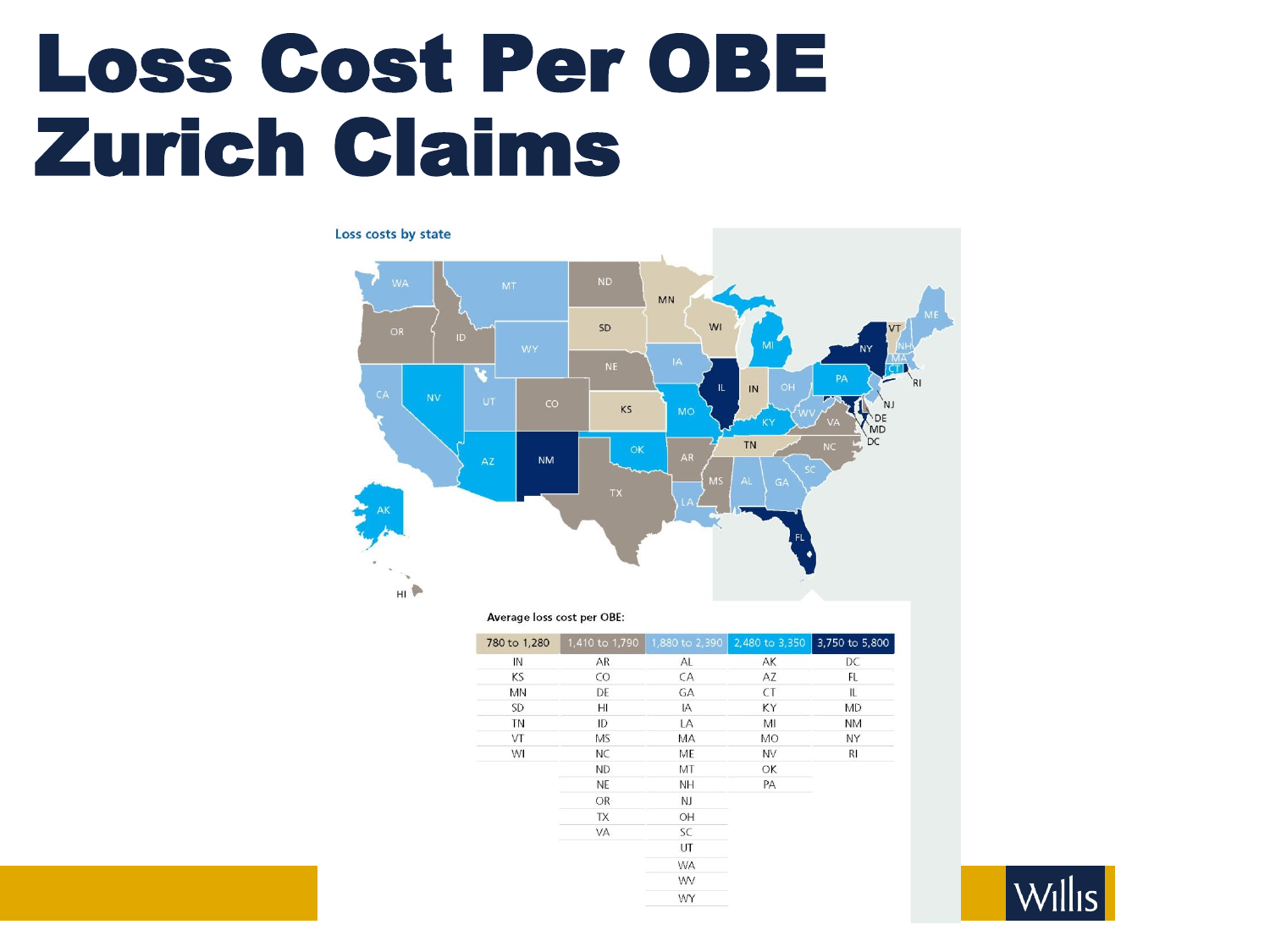## Loss Cost Per OBE Zurich Claims

#### Loss costs by state



#### Average loss cost per OBE:

| 780 to 1,280 |           | 1,410 to 1,790 1,880 to 2,390 | 2,480 to 3,350 | 3,750 to 5,800 |
|--------------|-----------|-------------------------------|----------------|----------------|
| IN           | AR        | AL                            | AK             | DC             |
| KS           | $\rm CO$  | CA                            | AZ             | FL             |
| <b>MN</b>    | DE        | GA                            | <b>CT</b>      | IL.            |
| <b>SD</b>    | HI        | IA                            | KY             | <b>MD</b>      |
| TN           | ID        | LA                            | MI             | <b>NM</b>      |
| VT           | <b>MS</b> | MA                            | MO             | NY             |
| WI           | <b>NC</b> | ME                            | <b>NV</b>      | R <sub>l</sub> |
|              | ND.       | MT                            | OK             |                |
|              | <b>NE</b> | NΗ.                           | PA             |                |
|              | OR        | NJ                            |                |                |
|              | TX        | OH                            |                |                |
|              | VA        | SC                            |                |                |
|              |           | UT                            |                |                |
|              |           | <b>WA</b>                     |                |                |
|              |           | WV                            |                |                |
|              |           | WY                            |                |                |

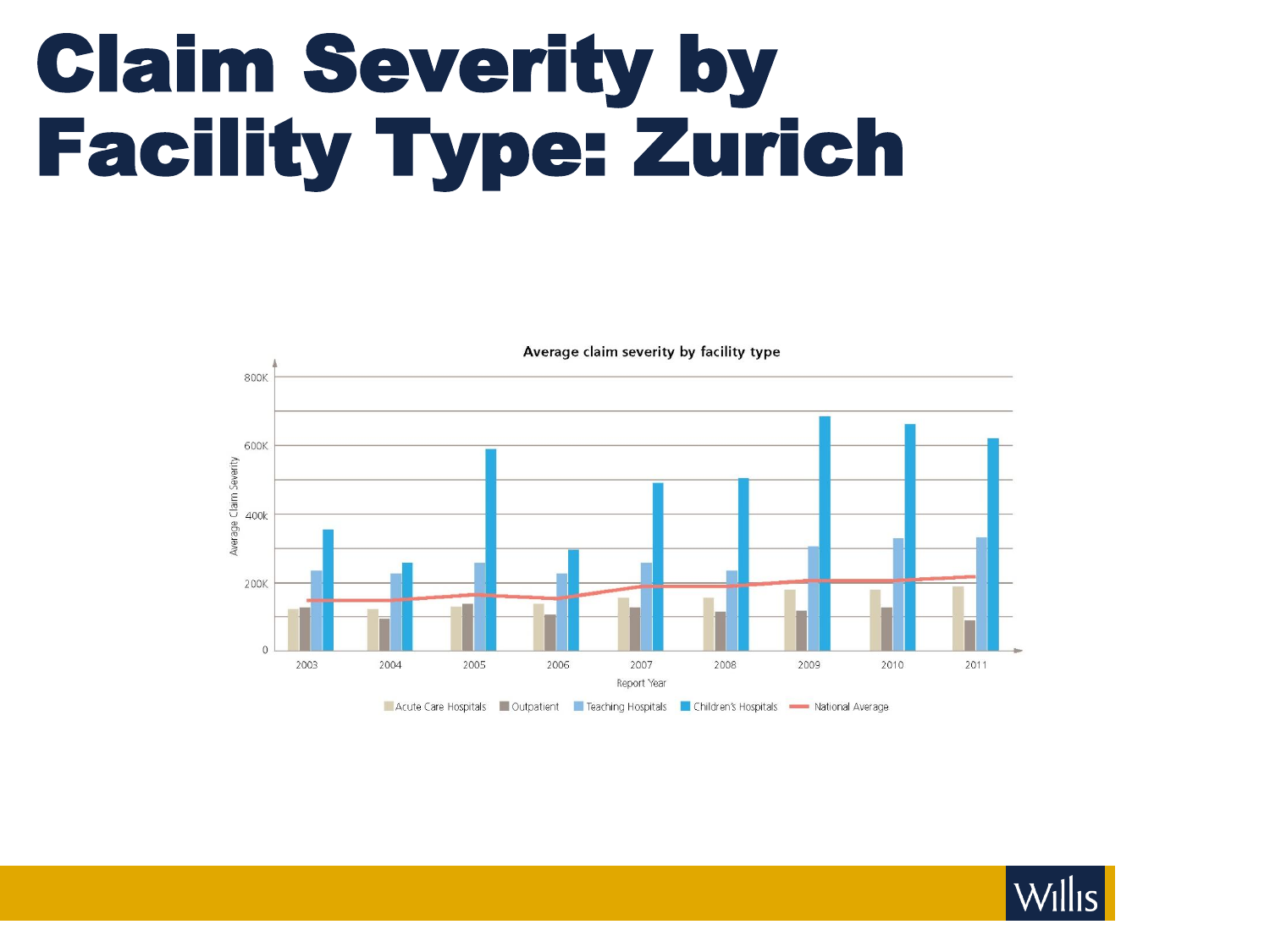# Claim Severity by Facility Type: Zurich



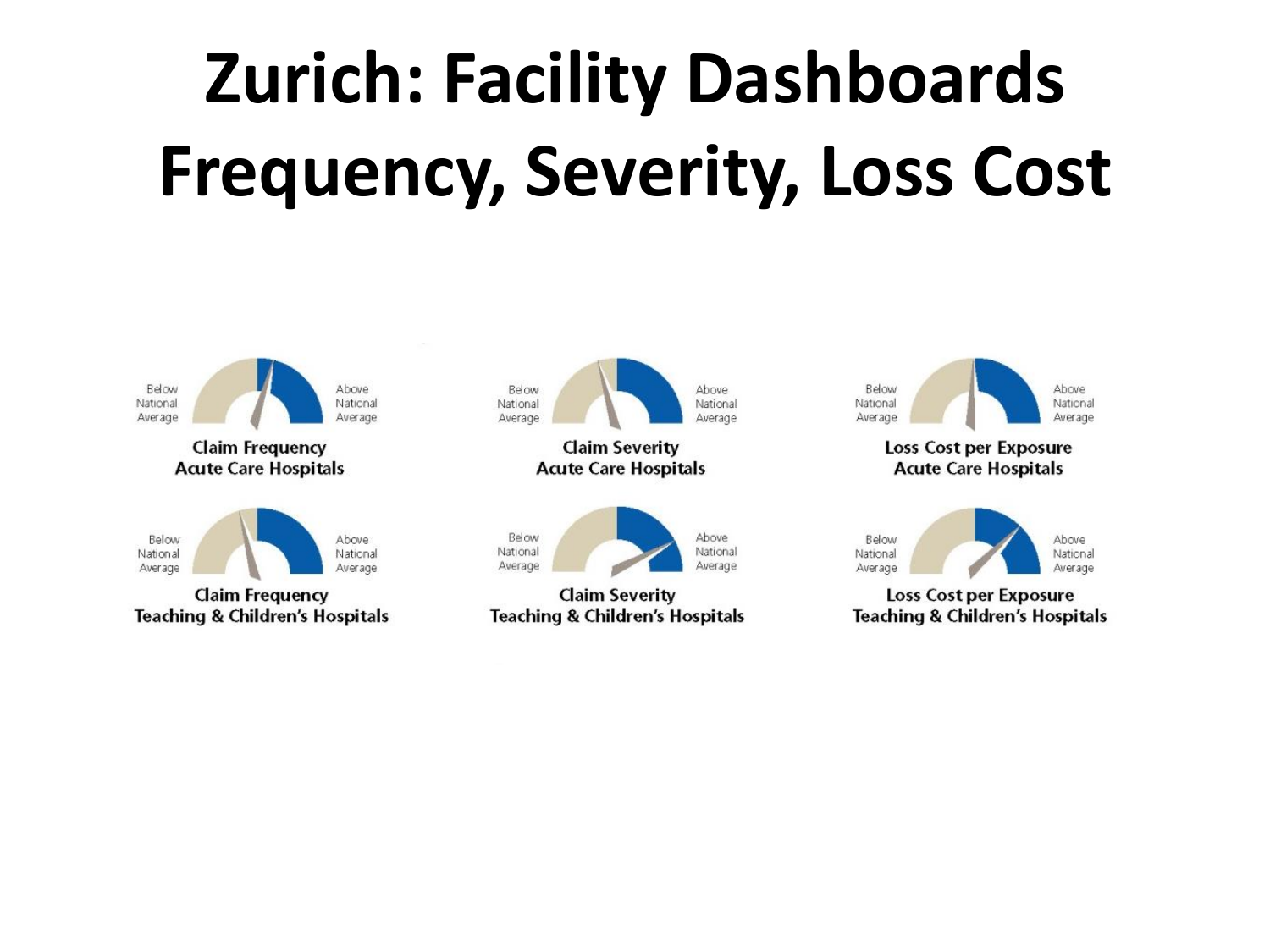# **Zurich: Facility Dashboards Frequency, Severity, Loss Cost**